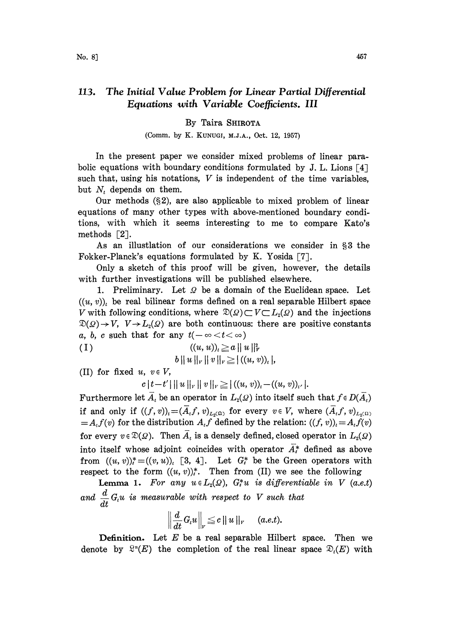## 113. The Initial Value Problem for Linear Partial Differential Equations with Variable Coefficients. III

## By Taira SHIROTA

## (Comm. by K. KUNUGI, M.J.A., Oct. 12, 1957)

In the present paper we consider mixed problems of linear parabolic equations with boundary conditions formulated by J. L. Lions  $\lceil 4 \rceil$ such that, using his notations,  $V$  is independent of the time variables, but  $N_t$  depends on them.

Our methods  $(\S 2)$ , are also applicable to mixed problem of linear equations of many other types with above-mentioned boundary conditions, with which it seems interesting to me to compare Kato's methods  $[2]$ .

As an illustlation of our considerations we consider in §3 the Fokker-Planck's equations formulated by K. Yosida [7].

0nly a sketch of this proof will be given, however, the details with further investigations will be published elsewhere.

1. Preliminary. Let  $\Omega$  be a domain of the Euclidean space. Let  $((u, v))_i$  be real bilinear forms defined on a real separable Hilbert space <br>V with following conditions, where  $\mathfrak{D}(Q) \subset V \subset L_2(Q)$  and the injections  $\mathfrak{D}(\mathfrak{Q}) \rightarrow V$ ,  $V \rightarrow L_2(\mathfrak{Q})$  are both continuous: there are positive constants a, b, c such that for any  $t(-\infty < t < \infty)$ 

(1) 
$$
((u, u))_i \ge a ||u||_v^2
$$
  
 $b ||u||_v ||v||_v \ge |((u, v))_i|$ 

(II) for fixed  $u, v \in V$ ,

 $c |t-t'| ||u||_V ||v||_V \ge |((u, v))_t - ((u, v))_{t'}|.$ 

Furthermore let  $\overline{A}_t$  be an operator in  $L_2(\mathcal{Q})$  into itself such that  $f \in D(\overline{A}_t)$ if and only if  $((f, v))_t = (\overline{A}_t f, v)_{L_2(\Omega)}$  for every  $v \in V$ , where  $(\overline{A}_t f, v)_{L_2(\Omega)}$  $=A_t f(v)$  for the distribution  $A_t f$  defined by the relation:  $((f, v))_t = A_t f(v)$ for every  $v \in \mathcal{D}(\Omega)$ . Then  $A_t$  is a densely defined, closed operator in  $L_2(\Omega)$ into itself whose adjoint coincides with operator  $\overline{A}^*_t$  defined as above from  $((u, v))^* = ((v, u))_i$  [3, 4]. Let  $G^*_i$  be the Green operators with respect to the form  $((u, v))_{i}^{*}$ . Then from (II) we see the following

Lemma 1. For any  $u \in L_2(\Omega)$ ,  $G_t^*u$  is differentiable in V (a.e.t) d **Lemma 1.** For any  $u \in L_2(\mathcal{Q})$ ,  $G_t^*u$  is aifferentiand  $\frac{d}{dt} G_t u$  is measurable with respect to V such that

$$
\left\|\frac{d}{dt}G_t u\right\|_v \leq c \left\|u\right\|_v \quad (a.e.t).
$$

**Definition.** Let  $E$  be a real separable Hilbert space. Then we denote by  $\mathbb{R}^n(E)$  the completion of the real linear space  $\mathcal{D}_i(E)$  with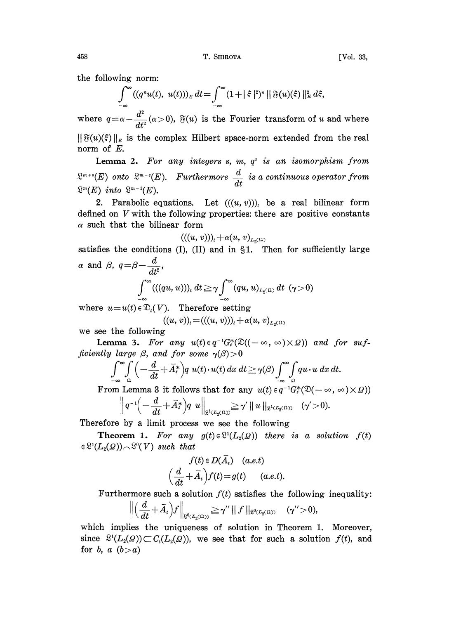$$
\int_{-\infty}^{\infty} ((q^n u(t), u(t)))_E dt = \int_{-\infty}^{\infty} (1 + |\xi|^2)^n ||\mathfrak{F}(u)(\xi)||_E^2 d\xi,
$$

where  $q = \alpha - \frac{d^2}{dt^2}(\alpha > 0)$ ,  $\mathfrak{F}(u)$  is the Fourier transform of u and where  $\|\mathfrak{F}(u)(\xi)\|_{E}$  is the complex Hilbert space-norm extended from the real norm of E.

Lemma 2. For any integers  $s$ ,  $m$ ,  $q^s$  is an isomorphism from  $\mathbb{R}^{m+s}(E)$  onto  $\mathbb{R}^{m-s}(E)$ . Furthermore  $\frac{d}{dt}$  is a continuous operator from  $\mathfrak{L}^m(E)$  into  $\mathfrak{L}^{m-1}(E)$ .

2. Parabolic equations. Let  $((u, v))_i$  be a real bilinear form defined on V with the following properties: there are positive constants  $\alpha$  such that the bilinear form

$$
(((u, v))_t + \alpha (u, v)_{L_2(\Omega)}
$$

satisfies the conditions (I), (II) and in  $\S1$ . Then for sufficiently large  $\alpha$  and  $\beta$ ,  $q=\beta-\frac{d}{dt^2}$ ,

$$
\int_{-\infty}^{\infty} ((qu, u))_t dt \geq \gamma \int_{-\infty}^{\infty} (qu, u)_{L_2(\Omega)} dt \quad (\gamma > 0)
$$

where  $u=u(t) \in \mathfrak{D}_t(V)$ . Therefore setting  $((u, v))_i=((u, v))_i+\alpha(u, v)_{L_0(\Omega)}$ 

we see the following

**Lemma 3.** For any  $u(t) \in q^{-1}G_t^*(\mathfrak{D}((-\infty, \infty) \times \Omega))$  and for suf-<br>ficiently large  $\beta$ , and for some  $\gamma(\beta) > 0$ 

$$
\int_{-\infty}^{\infty} \int_{-\infty}^{\infty} \left( -\frac{d}{dt} + \overline{A}_t^* \right) q u(t) \cdot u(t) \, dx \, dt \ge \gamma(\beta) \int_{-\infty}^{\infty} \int_{-\infty}^{\infty} q u \cdot u \, dx \, dt.
$$

From Lemma 8 it follows that for any  $u(t) \in q^{-1}G_{t}^{*}(\mathfrak{D}(-\infty, \infty) \times \Omega)$ 

Lemma 3 it follows that for any 
$$
u(t) \in q^{-1}G_t^*(\mathfrak{D}(-\infty))
$$
  

$$
\left\| q^{-1}\left(-\frac{d}{dt} + \overline{A}_t^*\right) q u \right\|_{\mathfrak{L}^1(\mathcal{L}_2(\Omega))} \geq \gamma' \left\| u \right\|_{\mathfrak{L}^1(\mathcal{L}_2(\Omega))} (\gamma' > 0).
$$

Therefore by a limit process we see the following

**Theorem 1.** For any  $g(t) \in \mathbb{S}^1(L_2(\Omega))$  there is a solution  $f(t)$  $\in \mathbb{S}^1(L_2(\Omega)) \cap \mathbb{S}^0(V)$  such that

$$
f(t) \in D(A_t) \quad (a.e.t)
$$

$$
\left(\frac{d}{dt} + \overline{A}_t\right) f(t) = g(t) \quad (a.e.t).
$$

Furthermore such a solution  $f(t)$  satisfies the following inequality:

$$
\left\|\left(\frac{d}{dt}+\bar{A}_t\right)\!f\right\|_{\mathfrak{L}^0(L_2(\Omega))}\!\geq\! \gamma''\left\|\,f\,\right\|_{\mathfrak{L}^0(L_2(\Omega))}\quad(\gamma''\!>\!0),
$$

which implies the uniqueness of solution in Theorem 1. Moreover, since  $\mathcal{R}^1(L_2(\Omega)) \subset C_i(L_2(\Omega))$ , we see that for such a solution  $f(t)$ , and for b, a  $(b>a)$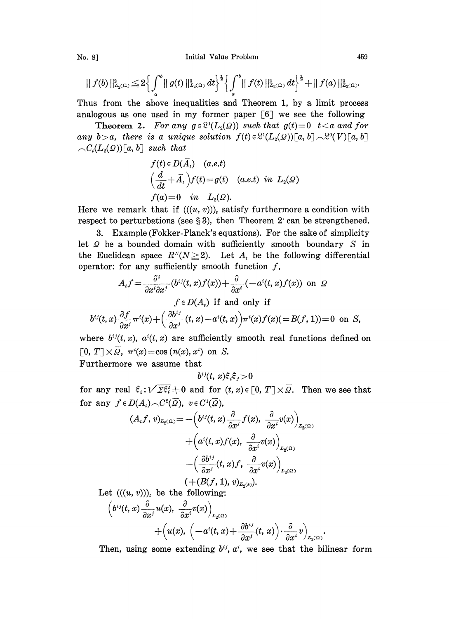No. 8] **Initial Value Problem** 459

$$
|| f(b) ||_{L_2(\Omega)}^2 \leq 2 \Biggl\{ \int_a^b || g(t) ||_{L_2(\Omega)}^2 dt \Biggr\}^{\frac{1}{2}} \Biggl\{ \int_a^b || f(t) ||_{L_2(\Omega)}^2 dt \Biggr\}^{\frac{1}{2}} + || f(a) ||_{L_2(\Omega)}^2.
$$

Thus from the above inequalities and Theorem 1, by a limit process analogous as one used in my former paper  $\lceil 6 \rceil$  we see the following

**Theorem 2.** For any  $g \in \mathbb{S}^1(L_2(\Omega))$  such that  $g(t)=0$  t  $\lt a$  and for any  $b>a$ , there is a unique solution  $f(t)\in \mathbb{S}^1(L_2(\Omega))[a, b]\right) \sim \mathbb{S}^0(V)[a, b]$  $\bigcap_{i \in \mathcal{C}_t} (L_2(\Omega)) [a, b]$  such that

$$
f(t) \in D(\overline{A}_t) \quad (a.e.t)
$$
  
\n
$$
\left(\frac{d}{dt} + \overline{A}_t\right) f(t) = g(t) \quad (a.e.t) \ in \ L_2(\Omega)
$$
  
\n
$$
f(a) = 0 \quad in \ L_2(\Omega).
$$

Here we remark that if  $(((u, v))_t$  satisfy furthermore a condition with respect to perturbations (see  $\S 3$ ), then Theorem 2 can be strengthened.

3. Example (Fokker-Planck's equations). For the sake of simplicity let  $\Omega$  be a bounded domain with sufficiently smooth boundary  $S$  in the Euclidean space  $R^{N}(N\geq 2)$ . Let  $A_{i}$  be the following differential operator: for any sufficiently smooth function  $f$ ,

$$
A_t f = \frac{\partial^2}{\partial x^i \partial x^j} (b^{ij}(t, x) f(x)) + \frac{\partial}{\partial x^i} (-a^i(t, x) f(x)) \text{ on } \Omega
$$
  
\n
$$
f \in D(A_t) \text{ if and only if}
$$
  
\n
$$
b^{ij}(t, x) \frac{\partial f}{\partial x^j} \pi^i(x) + \left(\frac{\partial b^{ij}}{\partial x^j}(t, x) - a^i(t, x)\right) \pi^i(x) f(x) (= B(f, 1)) = 0 \text{ on } S,
$$

where  $b^{ij}(t, x)$ ,  $a^{i}(t, x)$  are sufficiently smooth real functions defined on [0,  $T \times \overline{\Omega}$ ,  $\pi^i(x) = \cos(n(x), x^i)$  on S.

Furthermore we assume that

$$
b^{ij}(t, x)\mathbf{\hat{z}}_i\mathbf{\hat{z}}_j\mathbf{>0}
$$

for any real  $\xi_i : \sqrt{\Sigma \xi_i^2} \neq 0$  and for  $(t, x) \in [0, T] \times \overline{\Omega}$ . Then we see that for any  $f \in D(A_t) \cap C^2(\overline{Q})$ ,  $v \in C^1(\overline{Q})$ ,

$$
(A_t f, v)_{L_2(\Omega)} = -\left(b^{ij}(t, x)\frac{\partial}{\partial x^j}f(x), \frac{\partial}{\partial x^i}v(x)\right)_{L_2(\Omega)}
$$

$$
+\left(a^i(t, x)f(x), \frac{\partial}{\partial x^i}v(x)\right)_{L_2(\Omega)}
$$

$$
-\left(\frac{\partial b^{ij}}{\partial x^j}(t, x)f, \frac{\partial}{\partial x^i}v(x)\right)_{L_2(\Omega)}
$$

$$
(+ (B(f, 1), v)_{L_2(\rho)}).
$$

Let  $((u, v))_t$  be the following:

$$
\begin{aligned} \left(b^{ij}(t,x)\frac{\partial}{\partial x^j}u(x),\;\frac{\partial}{\partial x^i}v(x)\right)_{L_2(\Omega)}\\+\left(u(x),\;\left(-a^i(t,x)+\frac{\partial b^{ij}}{\partial x^j}(t,x)\right)\cdot\frac{\partial}{\partial x^i}v\right)_{L_2(\Omega)}.\end{aligned}
$$

Then, using some extending  $b^{ij}$ ,  $a^i$ , we see that the bilinear form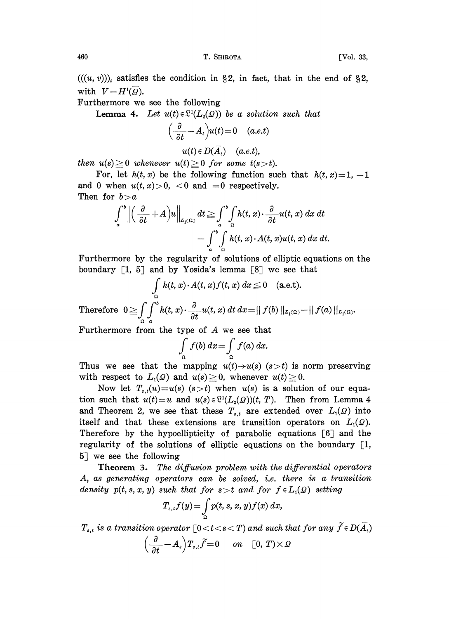[Vol. 33,

 $((u, v))$ , satisfies the condition in §2, in fact, that in the end of §2, with  $V = H^{1}(\overline{Q})$ .

Furthermore we see the following

**Lemma 4.** Let  $u(t) \in \mathbb{S}^1(L_2(\Omega))$  be a solution such that

$$
\left(\frac{\partial}{\partial t} - A_t\right)u(t) = 0 \quad (a.e.t)
$$

$$
u(t) \in D(\overline{A}_t) \quad (a.e.t)
$$

then  $u(s) \geq 0$  whenever  $u(t) \geq 0$  for some  $t(s > t)$ .

For, let  $h(t, x)$  be the following function such that  $h(t, x)=1, -1$ and 0 when  $u(t, x) > 0$ , <0 and =0 respectively. Then for  $b > a$ 

$$
\int_a^b \left\| \left( \frac{\partial}{\partial t} + A \right) u \right\|_{L_1(\Omega)} dt \geq \int_a^b \int_{\Omega} h(t, x) \cdot \frac{\partial}{\partial t} u(t, x) dx dt - \int_a^b \int_{\Omega} h(t, x) \cdot A(t, x) u(t, x) dx dt.
$$

Furthermore by the regularity of solutions of elliptic equations on the boundary  $\lceil 1, 5 \rceil$  and by Yosida's lemma  $\lceil 8 \rceil$  we see that

$$
\int_{\Omega} h(t, x) \cdot A(t, x) f(t, x) dx \leq 0 \quad \text{(a.e.t.)}
$$

Therefore  $0 \ge \int_{0}^{b} \int_{0}^{b} h(t, x) \cdot \frac{\partial}{\partial t} u(t, x) dt dx = || f(b) ||_{L_{1}(\Omega)} - || f(a) ||_{L_{1}(\Omega)}.$ 

Furthermore from the type of  $A$  we see that

$$
\int_{\Omega} f(b) dx = \int_{\Omega} f(a) dx.
$$

Thus we see that the mapping  $u(t) \rightarrow u(s)$  (s  $> t$ ) is norm preserving with respect to  $L_1(\Omega)$  and  $u(s) \geq 0$ , whenever  $u(t) \geq 0$ .

Now let  $T_{s,t}(u) = u(s)$  (s > t) when  $u(s)$  is a solution of our equation such that  $u(t) = u$  and  $u(s) \in \mathbb{S}^1(L_2(\Omega))(t, T)$ . Then from Lemma 4 and Theorem 2, we see that these  $T_{s,t}$  are extended over  $L_1(\mathcal{Q})$  into itself and that these extensions are transition operators on  $L_1(\mathcal{Q})$ . Therefore by the hypoellipticity of parabolic equations [6] and the regularity of the solutions of elliptic equations on the boundary  $[1,$ 5] we see the following

The diffusion problem with the differential operators Theorem 3.  $A_t$  as generating operators can be solved, i.e. there is a transition density  $p(t, s, x, y)$  such that for  $s > t$  and for  $f \in L_1(\Omega)$  setting

$$
T_{s,t}f(y) = \int\limits_{\Omega} p(t,s,x,y)f(x) \ dx,
$$

 $T_{s,t}$  is a transition operator  $\lceil 0 \lt t \lt s \lt T \rceil$  and such that for any  $\widetilde{f} \in D(\overline{A}_t)$ 

$$
\left(\frac{\partial}{\partial t} - A_s\right) T_{s,t} \widetilde{f} = 0 \quad on \quad [0, T) \times \mathcal{Q}
$$

460